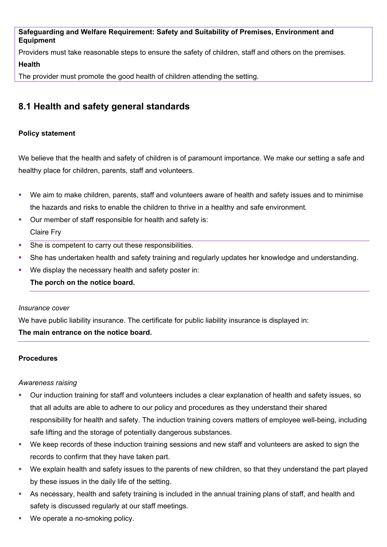**Safeguarding and Welfare Requirement: Safety and Suitability of Premises, Environment and Equipment** 

Providers must take reasonable steps to ensure the safety of children, staff and others on the premises.

### **Health**

The provider must promote the good health of children attending the setting.

# **8.1 Health and safety general standards**

# **Policy statement**

We believe that the health and safety of children is of paramount importance. We make our setting a safe and healthy place for children, parents, staff and volunteers.

- We aim to make children, parents, staff and volunteers aware of health and safety issues and to minimise the hazards and risks to enable the children to thrive in a healthy and safe environment.
- Our member of staff responsible for health and safety is: Claire Fry
- She is competent to carry out these responsibilities.
- She has undertaken health and safety training and regularly updates her knowledge and understanding.
- We display the necessary health and safety poster in:

**The porch on the notice board.** 

### *Insurance cover*

We have public liability insurance. The certificate for public liability insurance is displayed in:

# **The main entrance on the notice board.**

# **Procedures**

### *Awareness raising*

- Our induction training for staff and volunteers includes a clear explanation of health and safety issues, so that all adults are able to adhere to our policy and procedures as they understand their shared responsibility for health and safety. The induction training covers matters of employee well-being, including safe lifting and the storage of potentially dangerous substances.
- We keep records of these induction training sessions and new staff and volunteers are asked to sign the records to confirm that they have taken part.
- We explain health and safety issues to the parents of new children, so that they understand the part played by these issues in the daily life of the setting.
- As necessary, health and safety training is included in the annual training plans of staff, and health and safety is discussed regularly at our staff meetings.
- We operate a no-smoking policy.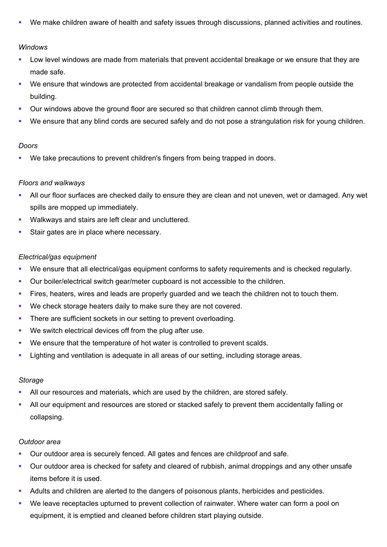We make children aware of health and safety issues through discussions, planned activities and routines.

#### *Windows*

- **Low level windows are made from materials that prevent accidental breakage or we ensure that they are** made safe.
- We ensure that windows are protected from accidental breakage or vandalism from people outside the building.
- **•** Our windows above the ground floor are secured so that children cannot climb through them.
- We ensure that any blind cords are secured safely and do not pose a strangulation risk for young children.

#### *Doors*

We take precautions to prevent children's fingers from being trapped in doors.

#### *Floors and walkways*

- All our floor surfaces are checked daily to ensure they are clean and not uneven, wet or damaged. Any wet spills are mopped up immediately.
- **Walkways and stairs are left clear and uncluttered.**
- Stair gates are in place where necessary.

#### *Electrical/gas equipment*

- We ensure that all electrical/gas equipment conforms to safety requirements and is checked regularly.
- Our boiler/electrical switch gear/meter cupboard is not accessible to the children.
- **Fires, heaters, wires and leads are properly guarded and we teach the children not to touch them.**
- We check storage heaters daily to make sure they are not covered.
- There are sufficient sockets in our setting to prevent overloading.
- **We switch electrical devices off from the plug after use.**
- We ensure that the temperature of hot water is controlled to prevent scalds.
- Lighting and ventilation is adequate in all areas of our setting, including storage areas.

#### *Storage*

- All our resources and materials, which are used by the children, are stored safely.
- All our equipment and resources are stored or stacked safely to prevent them accidentally falling or collapsing.

#### *Outdoor area*

- **Dur outdoor area is securely fenced. All gates and fences are childproof and safe.**
- Our outdoor area is checked for safety and cleared of rubbish, animal droppings and any other unsafe items before it is used.
- Adults and children are alerted to the dangers of poisonous plants, herbicides and pesticides.
- We leave receptacles upturned to prevent collection of rainwater. Where water can form a pool on equipment, it is emptied and cleaned before children start playing outside.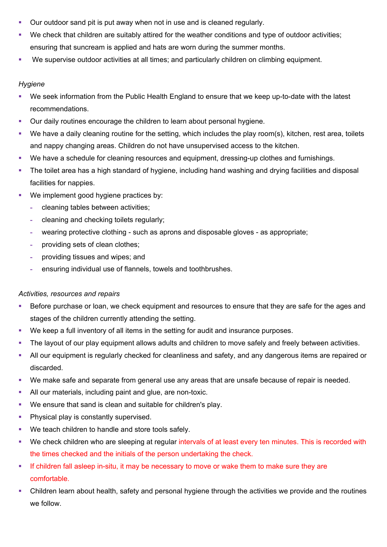- Our outdoor sand pit is put away when not in use and is cleaned regularly.
- We check that children are suitably attired for the weather conditions and type of outdoor activities; ensuring that suncream is applied and hats are worn during the summer months.
- We supervise outdoor activities at all times; and particularly children on climbing equipment.

# *Hygiene*

- We seek information from the Public Health England to ensure that we keep up-to-date with the latest recommendations.
- Our daily routines encourage the children to learn about personal hygiene.
- We have a daily cleaning routine for the setting, which includes the play room(s), kitchen, rest area, toilets and nappy changing areas. Children do not have unsupervised access to the kitchen.
- We have a schedule for cleaning resources and equipment, dressing-up clothes and furnishings.
- The toilet area has a high standard of hygiene, including hand washing and drying facilities and disposal facilities for nappies.
- We implement good hygiene practices by:
	- **-** cleaning tables between activities;
	- **-** cleaning and checking toilets regularly;
	- **-** wearing protective clothing such as aprons and disposable gloves as appropriate;
	- **-** providing sets of clean clothes;
	- **-** providing tissues and wipes; and
	- **-** ensuring individual use of flannels, towels and toothbrushes.

### *Activities, resources and repairs*

- Before purchase or loan, we check equipment and resources to ensure that they are safe for the ages and stages of the children currently attending the setting.
- We keep a full inventory of all items in the setting for audit and insurance purposes.
- The layout of our play equipment allows adults and children to move safely and freely between activities.
- All our equipment is regularly checked for cleanliness and safety, and any dangerous items are repaired or discarded.
- We make safe and separate from general use any areas that are unsafe because of repair is needed.
- All our materials, including paint and glue, are non-toxic.
- We ensure that sand is clean and suitable for children's play.
- **Physical play is constantly supervised.**
- **We teach children to handle and store tools safely.**
- We check children who are sleeping at regular intervals of at least every ten minutes. This is recorded with the times checked and the initials of the person undertaking the check.
- If children fall asleep in-situ, it may be necessary to move or wake them to make sure they are comfortable.
- Children learn about health, safety and personal hygiene through the activities we provide and the routines we follow.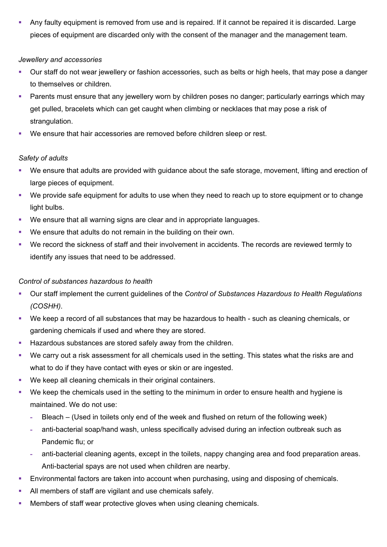Any faulty equipment is removed from use and is repaired. If it cannot be repaired it is discarded. Large pieces of equipment are discarded only with the consent of the manager and the management team.

# *Jewellery and accessories*

- Our staff do not wear jewellery or fashion accessories, such as belts or high heels, that may pose a danger to themselves or children.
- Parents must ensure that any jewellery worn by children poses no danger; particularly earrings which may get pulled, bracelets which can get caught when climbing or necklaces that may pose a risk of strangulation.
- We ensure that hair accessories are removed before children sleep or rest.

# *Safety of adults*

- We ensure that adults are provided with guidance about the safe storage, movement, lifting and erection of large pieces of equipment.
- We provide safe equipment for adults to use when they need to reach up to store equipment or to change light bulbs.
- We ensure that all warning signs are clear and in appropriate languages.
- We ensure that adults do not remain in the building on their own.
- We record the sickness of staff and their involvement in accidents. The records are reviewed termly to identify any issues that need to be addressed.

# *Control of substances hazardous to health*

- Our staff implement the current guidelines of the *Control of Substances Hazardous to Health Regulations (COSHH)*.
- We keep a record of all substances that may be hazardous to health such as cleaning chemicals, or gardening chemicals if used and where they are stored.
- Hazardous substances are stored safely away from the children.
- We carry out a risk assessment for all chemicals used in the setting. This states what the risks are and what to do if they have contact with eyes or skin or are ingested.
- We keep all cleaning chemicals in their original containers.
- We keep the chemicals used in the setting to the minimum in order to ensure health and hygiene is maintained. We do not use:
	- **-** Bleach (Used in toilets only end of the week and flushed on return of the following week)
	- **-** anti-bacterial soap/hand wash, unless specifically advised during an infection outbreak such as Pandemic flu; or
	- **-** anti-bacterial cleaning agents, except in the toilets, nappy changing area and food preparation areas. Anti-bacterial spays are not used when children are nearby.
- Environmental factors are taken into account when purchasing, using and disposing of chemicals.
- All members of staff are vigilant and use chemicals safely.
- Members of staff wear protective gloves when using cleaning chemicals.